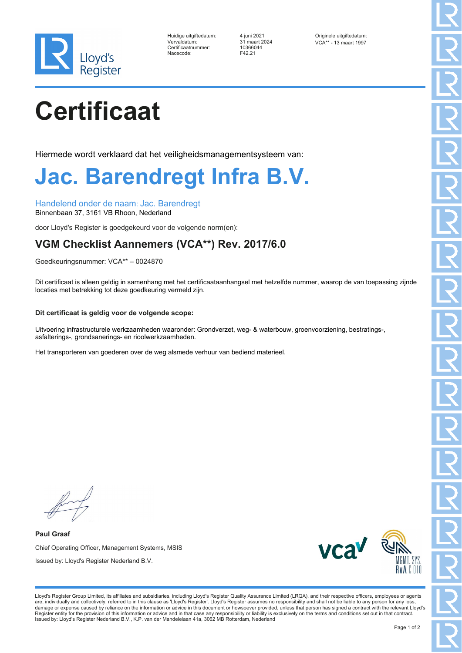

| Huidige uitgiftedatum: |
|------------------------|
| Vervaldatum:           |
| Certificaatnummer:     |
| Nacecode:              |

Certificaatnummer: 10366044 F42.21

4 juni 2021 **Originele uitgiftedatum:** 4 juni 2021 **Originele uitgiftedatum:** Vervaldatum: 31 maart 2024 VCA\*\* - 13 maart 1997

# **Certificaat**

Hiermede wordt verklaard dat het veiligheidsmanagementsysteem van:

### **Jac. Barendregt Infra B.V.**

Handelend onder de naam: Jac. Barendregt Binnenbaan 37, 3161 VB Rhoon, Nederland

door Lloyd's Register is goedgekeurd voor de volgende norm(en):

### **VGM Checklist Aannemers (VCA\*\*) Rev. 2017/6.0**

Goedkeuringsnummer: VCA\*\* – 0024870

Dit certificaat is alleen geldig in samenhang met het certificaataanhangsel met hetzelfde nummer, waarop de van toepassing zijnde locaties met betrekking tot deze goedkeuring vermeld zijn.

#### **Dit certificaat is geldig voor de volgende scope:**

Uitvoering infrastructurele werkzaamheden waaronder: Grondverzet, weg- & waterbouw, groenvoorziening, bestratings-, asfalterings-, grondsanerings- en rioolwerkzaamheden.

Het transporteren van goederen over de weg alsmede verhuur van bediend materieel.

**Paul Graaf** Chief Operating Officer, Management Systems, MSIS Issued by: Lloyd's Register Nederland B.V.



Lloyd's Register Group Limited, its affiliates and subsidiaries, including Lloyd's Register Quality Assurance Limited (LRQA), and their respective officers, employees or agents are, individually and collectively, referred to in this clause as 'Lloyd's Register'. Lloyd's Register assumes no responsibility and shall not be liable to any person for any loss,<br>damage or expense caused by reliance on t Register entity for the provision of this information or advice and in that case any responsibility or liability is exclusively on the terms and conditions set out in that contract. Issued by: Lloyd's Register Nederland B.V., K.P. van der Mandelelaan 41a, 3062 MB Rotterdam, Nederland